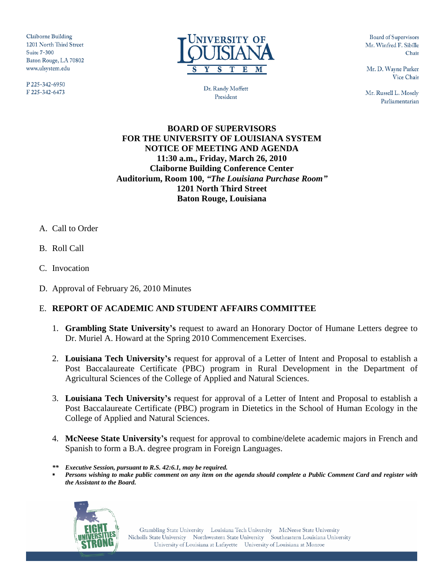Claiborne Building 1201 North Third Street **Suite 7-300** Baton Rouge, LA 70802 www.ulsystem.edu

P225-342-6950 F 225-342-6473



Dr. Randy Moffett President

**Board of Supervisors** Mr. Winfred F. Sibille Chair

Mr. D. Wayne Parker Vice Chair

Mr. Russell L. Mosely Parliamentarian

### **BOARD OF SUPERVISORS FOR THE UNIVERSITY OF LOUISIANA SYSTEM NOTICE OF MEETING AND AGENDA 11:30 a.m., Friday, March 26, 2010 Claiborne Building Conference Center Auditorium, Room 100,** *"The Louisiana Purchase Room"* **1201 North Third Street Baton Rouge, Louisiana**

- A. Call to Order
- B. Roll Call
- C. Invocation
- D. Approval of February 26, 2010 Minutes

#### E. **REPORT OF ACADEMIC AND STUDENT AFFAIRS COMMITTEE**

- 1. **Grambling State University's** request to award an Honorary Doctor of Humane Letters degree to Dr. Muriel A. Howard at the Spring 2010 Commencement Exercises.
- 2. **Louisiana Tech University's** request for approval of a Letter of Intent and Proposal to establish a Post Baccalaureate Certificate (PBC) program in Rural Development in the Department of Agricultural Sciences of the College of Applied and Natural Sciences.
- 3. **Louisiana Tech University's** request for approval of a Letter of Intent and Proposal to establish a Post Baccalaureate Certificate (PBC) program in Dietetics in the School of Human Ecology in the College of Applied and Natural Sciences.
- 4. **McNeese State University's** request for approval to combine/delete academic majors in French and Spanish to form a B.A. degree program in Foreign Languages.
- *\*\* Executive Session, pursuant to R.S. 42:6.1, may be required.*
- *Persons wishing to make public comment on any item on the agenda should complete a Public Comment Card and register with the Assistant to the Board.*

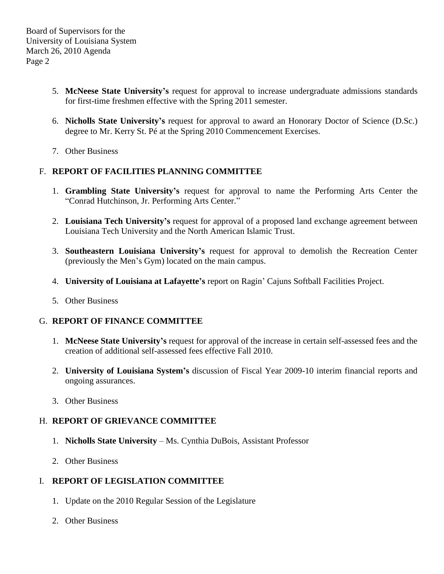- 5. **McNeese State University's** request for approval to increase undergraduate admissions standards for first-time freshmen effective with the Spring 2011 semester.
- 6. **Nicholls State University's** request for approval to award an Honorary Doctor of Science (D.Sc.) degree to Mr. Kerry St. Pé at the Spring 2010 Commencement Exercises.
- 7. Other Business

# F. **REPORT OF FACILITIES PLANNING COMMITTEE**

- 1. **Grambling State University's** request for approval to name the Performing Arts Center the "Conrad Hutchinson, Jr. Performing Arts Center."
- 2. **Louisiana Tech University's** request for approval of a proposed land exchange agreement between Louisiana Tech University and the North American Islamic Trust.
- 3. **Southeastern Louisiana University's** request for approval to demolish the Recreation Center (previously the Men's Gym) located on the main campus.
- 4. **University of Louisiana at Lafayette's** report on Ragin' Cajuns Softball Facilities Project.
- 5. Other Business

#### G. **REPORT OF FINANCE COMMITTEE**

- 1. **McNeese State University's** request for approval of the increase in certain self-assessed fees and the creation of additional self-assessed fees effective Fall 2010.
- 2. **University of Louisiana System's** discussion of Fiscal Year 2009-10 interim financial reports and ongoing assurances.
- 3. Other Business

#### H. **REPORT OF GRIEVANCE COMMITTEE**

- 1. **Nicholls State University** Ms. Cynthia DuBois, Assistant Professor
- 2. Other Business

# I. **REPORT OF LEGISLATION COMMITTEE**

- 1. Update on the 2010 Regular Session of the Legislature
- 2. Other Business